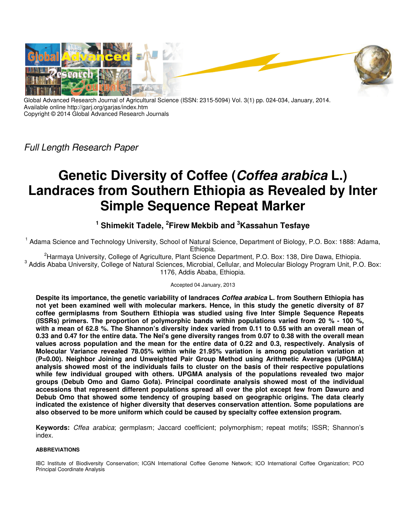

Global Advanced Research Journal of Agricultural Science (ISSN: 2315-5094) Vol. 3(1) pp. 024-034, January, 2014. Available online http://garj.org/garjas/index.htm Copyright © 2014 Global Advanced Research Journals

Full Length Research Paper

# **Genetic Diversity of Coffee (Coffea arabica L.) Landraces from Southern Ethiopia as Revealed by Inter Simple Sequence Repeat Marker**

## **<sup>1</sup> Shimekit Tadele, <sup>2</sup> Firew Mekbib and <sup>3</sup>Kassahun Tesfaye**

<sup>1</sup> Adama Science and Technology University, School of Natural Science, Department of Biology, P.O. Box: 1888: Adama, Ethiopia.

<sup>2</sup>Harmaya University, College of Agriculture, Plant Science Department, P.O. Box: 138, Dire Dawa, Ethiopia. <sup>3</sup> Addis Ababa University, College of Natural Sciences, Microbial, Cellular, and Molecular Biology Program Unit, P.O. Box: 1176, Addis Ababa, Ethiopia.

## Accepted 04 January, 2013

**Despite its importance, the genetic variability of landraces Coffea arabica L. from Southern Ethiopia has not yet been examined well with molecular markers. Hence, in this study the genetic diversity of 87 coffee germiplasms from Southern Ethiopia was studied using five Inter Simple Sequence Repeats (ISSRs) primers. The proportion of polymorphic bands within populations varied from 20 % - 100 %, with a mean of 62.8 %. The Shannon's diversity index varied from 0.11 to 0.55 with an overall mean of 0.33 and 0.47 for the entire data. The Nei's gene diversity ranges from 0.07 to 0.38 with the overall mean values across population and the mean for the entire data of 0.22 and 0.3, respectively. Analysis of Molecular Variance revealed 78.05% within while 21.95% variation is among population variation at (P=0.00). Neighbor Joining and Unweighted Pair Group Method using Arithmetic Averages (UPGMA) analysis showed most of the individuals fails to cluster on the basis of their respective populations while few individual grouped with others. UPGMA analysis of the populations revealed two major groups (Debub Omo and Gamo Gofa). Principal coordinate analysis showed most of the individual accessions that represent different populations spread all over the plot except few from Dawuro and Debub Omo that showed some tendency of grouping based on geographic origins. The data clearly indicated the existence of higher diversity that deserves conservation attention. Some populations are also observed to be more uniform which could be caused by specialty coffee extension program.** 

**Keywords:** Cffea arabica; germplasm; Jaccard coefficient; polymorphism; repeat motifs; ISSR; Shannon's index.

## **ABBREVIATIONS**

IBC Institute of Biodiversity Conservation; ICGN International Coffee Genome Network; ICO International Coffee Organization; PCO Principal Coordinate Analysis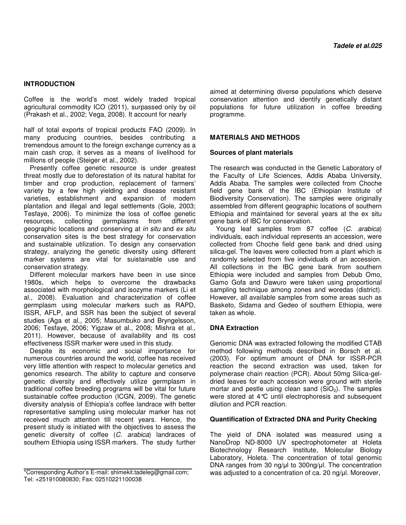## **INTRODUCTION**

Coffee is the world's most widely traded tropical agricultural commodity ICO (2011), surpassed only by oil (Prakash et al., 2002; Vega, 2008). It account for nearly

half of total exports of tropical products FAO (2009). In many producing countries, besides contributing a tremendous amount to the foreign exchange currency as a main cash crop, it serves as a means of livelihood for millions of people (Steiger et al., 2002).

Presently coffee genetic resource is under greatest threat mostly due to deforestation of its natural habitat for timber and crop production, replacement of farmers' variety by a few high yielding and disease resistant varieties, establishment and expansion of modern plantation and illegal and legal settlements (Gole, 2003; Tesfaye, 2006). To minimize the loss of coffee genetic resources, collecting germplasms from different geographic locations and conserving at in situ and ex situ conservation sites is the best strategy for conservation and sustainable utilization. To design any conservation strategy, analyzing the genetic diversity using different marker systems are vital for suistainable use and conservation strategy.

Different molecular markers have been in use since 1980s, which helps to overcome the drawbacks associated with morphological and isozyme markers (Li et al., 2008). Evaluation and characterization of coffee germplasm using molecular markers such as RAPD, ISSR, AFLP, and SSR has been the subject of several studies (Aga et al., 2005; Masumbuko and Bryngelsson, 2006; Tesfaye, 2006; Yigzaw et al., 2008; Mishra et al., 2011). However, because of availability and its cost effectiveness ISSR marker were used in this study.

Despite its economic and social importance for numerous countries around the world, coffee has received very little attention with respect to molecular genetics and genomics research. The ability to capture and conserve genetic diversity and effectively utilize germplasm in traditional coffee breeding programs will be vital for future sustainable coffee production (ICGN, 2009). The genetic diversity analysis of Ethiopia's coffee landrace with better representative sampling using molecular marker has not received much attention till recent years. Hence, the present study is initiated with the objectives to assess the genetic diversity of coffee (C. arabica) landraces of southern Ethiopia using ISSR markers. The study further aimed at determining diverse populations which deserve conservation attention and identify genetically distant populations for future utilization in coffee breeding programme.

## **MATERIALS AND METHODS**

#### **Sources of plant materials**

The research was conducted in the Genetic Laboratory of the Faculty of Life Sciences, Addis Ababa University, Addis Ababa. The samples were collected from Choche field gene bank of the IBC (Ethiopian Institute of Biodiversity Conservation). The samples were originally assembled from different geographic locations of southern Ethiopia and maintained for several years at the ex situ gene bank of IBC for conservation.

Young leaf samples from 87 coffee (C. arabica) individuals, each individual represents an accession, were collected from Choche field gene bank and dried using silica-gel. The leaves were collected from a plant which is randomly selected from five individuals of an accession. All collections in the IBC gene bank from southern Ethiopia were included and samples from Debub Omo, Gamo Gofa and Dawuro were taken using proportional sampling technique among zones and woredas (district). However, all available samples from some areas such as Basketo, Sidama and Gedeo of southern Ethiopia, were taken as whole.

## **DNA Extraction**

Genomic DNA was extracted following the modified CTAB method following methods described in Borsch et al. (2003). For optimum amount of DNA for ISSR-PCR reaction the second extraction was used, taken for polymerase chain reaction (PCR). About 50mg Silica-geldried leaves for each accession were ground with sterile mortar and pestle using clean sand  $(SiO<sub>2</sub>)$ . The samples were stored at 4°C until electrophoresis and subsequent dilution and PCR reaction.

#### **Quantification of Extracted DNA and Purity Checking**

The yield of DNA isolated was measured using a NanoDrop ND-8000 UV spectrophotometer at Holeta Biotechnology Research Institute, Molecular Biology Laboratory, Holeta. The concentration of total genomic DNA ranges from 30 ng/ul to 300ng/ul. The concentration was adjusted to a concentration of ca. 20 ng/µl. Moreover,

<sup>\*</sup>Corresponding Author's E-mail: shimekit.tadeleg@gmail.com; Tel: +251910080830; Fax: 02510221100038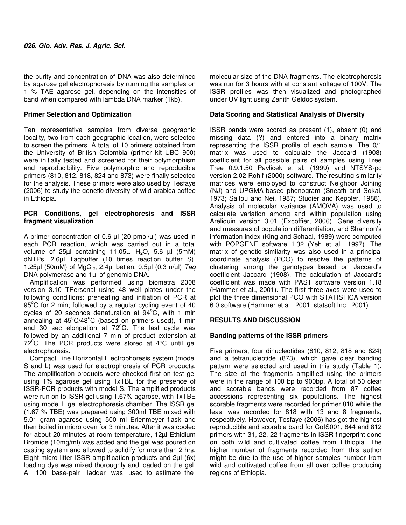the purity and concentration of DNA was also determined by agarose gel electrophoresis by running the samples on 1 % TAE agarose gel, depending on the intensities of band when compared with lambda DNA marker (1kb).

## **Primer Selection and Optimization**

Ten representative samples from diverse geographic locality, two from each geographic location, were selected to screen the primers. A total of 10 primers obtained from the University of British Colombia (primer kit UBC 900) were initially tested and screened for their polymorphism and reproducibility. Five polymorphic and reproducible primers (810, 812, 818, 824 and 873) were finally selected for the analysis. These primers were also used by Tesfaye (2006) to study the genetic diversity of wild arabica coffee in Ethiopia.

## **PCR Conditions, gel electrophoresis and ISSR fragment visualization**

A primer concentration of 0.6  $\mu$ l (20 pmol/ $\mu$ l) was used in each PCR reaction, which was carried out in a total volume of  $25\mu$ I containing 11.05 $\mu$ I H<sub>2</sub>O, 5.6  $\mu$ I (5mM) dNTPs, 2.6µl Taqbuffer (10 times reaction buffer S), 1.25 $\mu$ l (50mM) of MgCl<sub>2</sub>, 2.4 $\mu$ l betien, 0.5 $\mu$ l (0.3  $\mu/\mu$ l) Tag DNA polymerase and 1µl of genomic DNA.

Amplification was performed using biometra 2008 version 3.10 TPersonal using 48 well plates under the following conditions: preheating and initiation of PCR at  $95^{\circ}$ C for 2 min; followed by a regular cycling event of 40 cycles of 20 seconds denaturation at  $94^{\circ}$ C, with 1 min annealing at  $45^{\circ}$ C/48 $^{\circ}$ C (based on primers used), 1 min and 30 sec elongation at  $72^{\circ}$ C. The last cycle was followed by an additional 7 min of product extension at 72 $^{\circ}$ C. The PCR products were stored at 4 $^{\circ}$ C until gel electrophoresis.

Compact Line Horizontal Electrophoresis system (model S and L) was used for electrophoresis of PCR products. The amplification products were checked first on test gel using 1% agarose gel using 1xTBE for the presence of ISSR-PCR products with model S. The amplified products were run on to ISSR gel using 1.67% agarose, with 1xTBE using model L gel electrophoresis chamber. The ISSR gel (1.67 % TBE) was prepared using 300ml TBE mixed with 5.01 gram agarose using 500 ml Erlenmeyer flask and then boiled in micro oven for 3 minutes. After it was cooled for about 20 minutes at room temperature, 12µl Ethidium Bromide (10mg/ml) was added and the gel was poured on casting system and allowed to solidify for more than 2 hrs. Eight micro litter ISSR amplification products and 2µl (6x) loading dye was mixed thoroughly and loaded on the gel. A 100 base-pair ladder was used to estimate the

molecular size of the DNA fragments. The electrophoresis was run for 3 hours with at constant voltage of 100V. The ISSR profiles was then visualized and photographed under UV light using Zenith Geldoc system.

## **Data Scoring and Statistical Analysis of Diversity**

ISSR bands were scored as present (1), absent (0) and missing data (?) and entered into a binary matrix representing the ISSR profile of each sample. The 0/1 matrix was used to calculate the Jaccard (1908) coefficient for all possible pairs of samples using Free Tree 0.9.1.50 Pavlicek et al. (1999) and NTSYS-pc version 2.02 Rohlf (2000) software. The resulting similarity matrices were employed to construct Neighbor Joining (NJ) and UPGMA-based phenogram (Sneath and Sokal, 1973; Saitou and Nei, 1987; Studier and Keppler, 1988). Analysis of molecular variance (AMOVA) was used to calculate variation among and within population using Areliquin version 3.01 (Excoffier, 2006). Gene diversity and measures of population differentiation, and Shannon's information index (King and Schaal, 1989) were computed with POPGENE software 1.32 (Yeh et al., 1997). The matrix of genetic similarity was also used in a principal coordinate analysis (PCO) to resolve the patterns of clustering among the genotypes based on Jaccard's coefficient Jaccard (1908). The calculation of Jaccard's coefficient was made with PAST software version 1.18 (Hammer et al., 2001). The first three axes were used to plot the three dimensional PCO with STATISTICA version 6.0 software (Hammer et al., 2001; statsoft Inc., 2001).

## **RESULTS AND DISCUSSION**

## **Banding patterns of the ISSR primers**

Five primers, four dinucleotides (810, 812, 818 and 824) and a tetranucleotide (873), which gave clear banding pattern were selected and used in this study (Table 1). The size of the fragments amplified using the primers were in the range of 100 bp to 900bp. A total of 50 clear and scorable bands were recorded from 87 coffee accessions representing six populations. The highest scorable fragments were recorded for primer 810 while the least was recorded for 818 with 13 and 8 fragments, respectively. However, Tesfaye (2006) has got the highest reproducible and scorable band for CoIS001, 844 and 812 primers with 31, 22, 22 fragments in ISSR fingerprint done on both wild and cultivated coffee from Ethiopia. The higher number of fragments recorded from this author might be due to the use of higher samples number from wild and cultivated coffee from all over coffee producing regions of Ethiopia.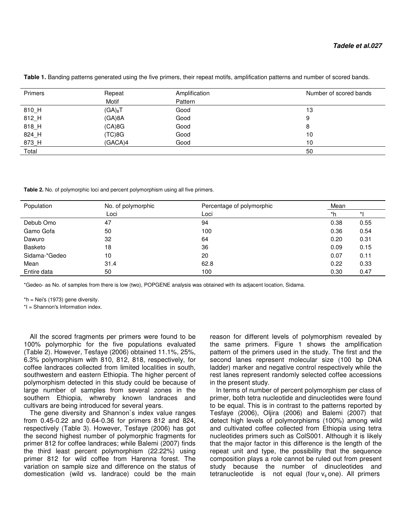| Primers | Repeat      | Amplification | Number of scored bands |
|---------|-------------|---------------|------------------------|
|         | Motif       | Pattern       |                        |
| 810_H   | $(GA)_{8}T$ | Good          | 13                     |
| 812_H   | (GA)8A      | Good          | 9                      |
| 818_H   | (CA)8G      | Good          | 8                      |
| 824_H   | (TC)8G      | Good          | 10                     |
| 873_H   | (GACA)4     | Good          | 10                     |
| Total   |             |               | 50                     |

**Table 1.** Banding patterns generated using the five primers, their repeat motifs, amplification patterns and number of scored bands.

**Table 2.** No. of polymorphic loci and percent polymorphism using all five primers.

| Population    | No. of polymorphic | Percentage of polymorphic | Mean |      |  |
|---------------|--------------------|---------------------------|------|------|--|
|               | Loci               | Loci                      | *h   |      |  |
| Debub Omo     | 47                 | 94                        | 0.38 | 0.55 |  |
| Gamo Gofa     | 50                 | 100                       | 0.36 | 0.54 |  |
| Dawuro        | 32                 | 64                        | 0.20 | 0.31 |  |
| Basketo       | 18                 | 36                        | 0.09 | 0.15 |  |
| Sidama-*Gedeo | 10                 | 20                        | 0.07 | 0.11 |  |
| Mean          | 31.4               | 62.8                      | 0.22 | 0.33 |  |
| Entire data   | 50                 | 100                       | 0.30 | 0.47 |  |

\*Gedeo- as No. of samples from there is low (two), POPGENE analysis was obtained with its adjacent location, Sidama.

\*h = Nei's (1973) gene diversity.

\*I = Shannon's Information index.

All the scored fragments per primers were found to be 100% polymorphic for the five populations evaluated (Table 2). However, Tesfaye (2006) obtained 11.1%, 25%, 6.3% polymorphism with 810, 812, 818, respectively, for coffee landraces collected from limited localities in south, southwestern and eastern Ethiopia. The higher percent of polymorphism detected in this study could be because of large number of samples from several zones in the southern Ethiopia, whwreby known landraces and cultivars are being introduced for several years.

The gene diversity and Shannon`s index value ranges from 0.45-0.22 and 0.64-0.36 for primers 812 and 824, respectively (Table 3). However, Tesfaye (2006) has got the second highest number of polymorphic fragments for primer 812 for coffee landraces; while Balemi (2007) finds the third least percent polymorphism (22.22%) using primer 812 for wild coffee from Harenna forest. The variation on sample size and difference on the status of domestication (wild vs. landrace) could be the main

reason for different levels of polymorphism revealed by the same primers. Figure 1 shows the amplification pattern of the primers used in the study. The first and the second lanes represent molecular size (100 bp DNA ladder) marker and negative control respectively while the rest lanes represent randomly selected coffee accessions in the present study.

In terms of number of percent polymorphism per class of primer, both tetra nucleotide and dinucleotides were found to be equal. This is in contrast to the patterns reported by Tesfaye (2006), Oljira (2006) and Balemi (2007) that detect high levels of polymorphisms (100%) among wild and cultivated coffee collected from Ethiopia using tetra nucleotides primers such as ColS001. Although it is likely that the major factor in this difference is the length of the repeat unit and type, the possibility that the sequence composition plays a role cannot be ruled out from present study because the number of dinucleotides and tetranucleotide is not equal (four  $v_s$  one). All primers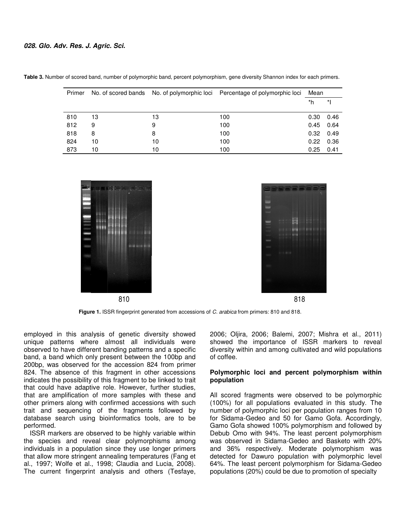| Primer |    |    | No. of scored bands No. of polymorphic loci Percentage of polymorphic loci | Mean |      |
|--------|----|----|----------------------------------------------------------------------------|------|------|
|        |    |    |                                                                            | *h   | *    |
| 810    | 13 | 13 | 100                                                                        | 0.30 | 0.46 |
| 812    | 9  | 9  | 100                                                                        | 0.45 | 0.64 |
| 818    | 8  | 8  | 100                                                                        | 0.32 | 0.49 |
| 824    | 10 | 10 | 100                                                                        | 0.22 | 0.36 |
| 873    | 10 | 10 | 100                                                                        | 0.25 | 0.41 |

**Table 3.** Number of scored band, number of polymorphic band, percent polymorphism, gene diversity Shannon index for each primers.



**Figure 1.** ISSR fingerprint generated from accessions of C. arabica from primers: 810 and 818.

employed in this analysis of genetic diversity showed unique patterns where almost all individuals were observed to have different banding patterns and a specific band, a band which only present between the 100bp and 200bp, was observed for the accession 824 from primer 824. The absence of this fragment in other accessions indicates the possibility of this fragment to be linked to trait that could have adaptive role. However, further studies, that are amplification of more samples with these and other primers along with confirmed accessions with such trait and sequencing of the fragments followed by database search using bioinformatics tools, are to be performed.

ISSR markers are observed to be highly variable within the species and reveal clear polymorphisms among individuals in a population since they use longer primers that allow more stringent annealing temperatures (Fang et al., 1997; Wolfe et al., 1998; Claudia and Lucia, 2008). The current fingerprint analysis and others (Tesfaye, 2006; Oljira, 2006; Balemi, 2007; Mishra et al., 2011) showed the importance of ISSR markers to reveal diversity within and among cultivated and wild populations of coffee.

## **Polymorphic loci and percent polymorphism within population**

All scored fragments were observed to be polymorphic (100%) for all populations evaluated in this study. The number of polymorphic loci per population ranges from 10 for Sidama-Gedeo and 50 for Gamo Gofa. Accordingly, Gamo Gofa showed 100% polymorphism and followed by Debub Omo with 94%. The least percent polymorphism was observed in Sidama-Gedeo and Basketo with 20% and 36% respectively. Moderate polymorphism was detected for Dawuro population with polymorphic level 64%. The least percent polymorphism for Sidama-Gedeo populations (20%) could be due to promotion of specialty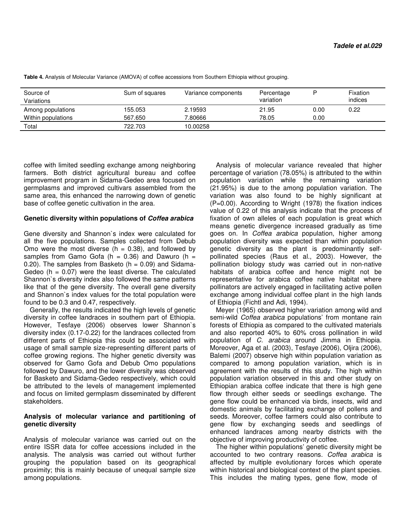| Source of<br>Variations | Sum of squares | Variance components | Percentage<br>variation |      | Fixation<br>indices |
|-------------------------|----------------|---------------------|-------------------------|------|---------------------|
| Among populations       | 155.053        | 2.19593             | 21.95                   | 0.00 | 0.22                |
| Within populations      | 567.650        | 7.80666             | 78.05                   | 0.00 |                     |
| Total                   | 722.703        | 10.00258            |                         |      |                     |

**Table 4.** Analysis of Molecular Variance (AMOVA) of coffee accessions from Southern Ethiopia without grouping.

coffee with limited seedling exchange among neighboring farmers. Both district agricultural bureau and coffee improvement program in Sidama-Gedeo area focused on germplasms and improved cultivars assembled from the same area, this enhanced the narrowing down of genetic base of coffee genetic cultivation in the area.

#### **Genetic diversity within populations of Coffea arabica**

Gene diversity and Shannon`s index were calculated for all the five populations. Samples collected from Debub Omo were the most diverse  $(h = 0.38)$ , and followed by samples from Gamo Gofa ( $h = 0.36$ ) and Dawuro ( $h =$ 0.20). The samples from Basketo ( $h = 0.09$ ) and Sidama-Gedeo ( $h = 0.07$ ) were the least diverse. The calculated Shannon`s diversity index also followed the same patterns like that of the gene diversity. The overall gene diversity and Shannon`s index values for the total population were found to be 0.3 and 0.47, respectively.

Generally, the results indicated the high levels of genetic diversity in coffee landraces in southern part of Ethiopia. However, Tesfaye (2006) observes lower Shannon`s diversity index (0.17-0.22) for the landraces collected from different parts of Ethiopia this could be associated with usage of small sample size-representing different parts of coffee growing regions. The higher genetic diversity was observed for Gamo Gofa and Debub Omo populations followed by Dawuro, and the lower diversity was observed for Basketo and Sidama-Gedeo respectively, which could be attributed to the levels of management implemented and focus on limited germplasm disseminated by different stakeholders.

#### **Analysis of molecular variance and partitioning of genetic diversity**

Analysis of molecular variance was carried out on the entire ISSR data for coffee accessions included in the analysis. The analysis was carried out without further grouping the population based on its geographical proximity; this is mainly because of unequal sample size among populations.

Analysis of molecular variance revealed that higher percentage of variation (78.05%) is attributed to the within population variation while the remaining variation (21.95%) is due to the among population variation. The variation was also found to be highly significant at (P=0.00). According to Wright (1978) the fixation indices value of 0.22 of this analysis indicate that the process of fixation of own alleles of each population is great which means genetic divergence increased gradually as time goes on. In Coffea arabica population, higher among population diversity was expected than within population genetic diversity as the plant is predominantly selfpollinated species (Raus et al., 2003). However, the pollination biology study was carried out in non-native habitats of arabica coffee and hence might not be representative for arabica coffee native habitat where pollinators are actively engaged in facilitating active pollen exchange among individual coffee plant in the high lands of Ethiopia (Fichtl and Adi, 1994).

Meyer (1965) observed higher variation among wild and semi-wild Coffea arabica populations' from montane rain forests of Ethiopia as compared to the cultivated materials and also reported 40% to 60% cross pollination in wild population of C. arabica around Jimma in Ethiopia. Moreover, Aga et al. (2003), Tesfaye (2006), Oljira (2006), Balemi (2007) observe high within population variation as compared to among population variation, which is in agreement with the results of this study. The high within population variation observed in this and other study on Ethiopian arabica coffee indicate that there is high gene flow through either seeds or seedlings exchange. The gene flow could be enhanced via birds, insects, wild and domestic animals by facilitating exchange of pollens and seeds. Moreover, coffee farmers could also contribute to gene flow by exchanging seeds and seedlings of enhanced landraces among nearby districts with the objective of improving productivity of coffee.

The higher within populations' genetic diversity might be accounted to two contrary reasons. Coffea arabica is affected by multiple evolutionary forces which operate within historical and biological context of the plant species. This includes the mating types, gene flow, mode of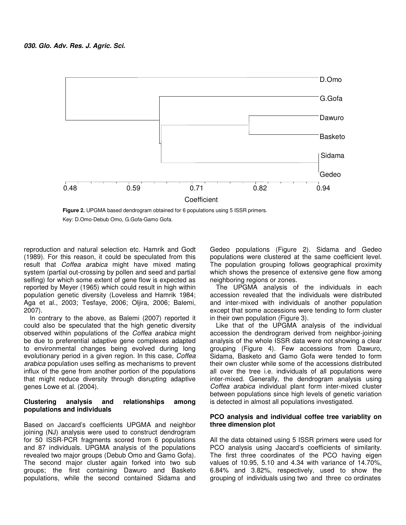

**Figure 2.** UPGMA based dendrogram obtained for 6 populations using 5 ISSR primers. Key: D.Omo-Debub Omo, G.Gofa-Gamo Gofa.

reproduction and natural selection etc. Hamrik and Godt (1989). For this reason, it could be speculated from this result that Coffea arabica might have mixed mating system (partial out-crossing by pollen and seed and partial selfing) for which some extent of gene flow is expected as reported by Meyer (1965) which could result in high within population genetic diversity (Loveless and Hamrik 1984; Aga et al., 2003; Tesfaye, 2006; Oljira, 2006; Balemi, 2007).

In contrary to the above, as Balemi (2007) reported it could also be speculated that the high genetic diversity observed within populations of the Coffea arabica might be due to preferential adaptive gene complexes adapted to environmental changes being evolved during long evolutionary period in a given region. In this case, Coffea arabica population uses selfing as mechanisms to prevent influx of the gene from another portion of the populations that might reduce diversity through disrupting adaptive genes Lowe et al. (2004).

## **Clustering analysis and relationships among populations and individuals**

Based on Jaccard's coefficients UPGMA and neighbor joining (NJ) analysis were used to construct dendrogram for 50 ISSR-PCR fragments scored from 6 populations and 87 individuals. UPGMA analysis of the populations revealed two major groups (Debub Omo and Gamo Gofa). The second major cluster again forked into two sub groups; the first containing Dawuro and Basketo populations, while the second contained Sidama and Gedeo populations (Figure 2). Sidama and Gedeo populations were clustered at the same coefficient level. The population grouping follows geographical proximity which shows the presence of extensive gene flow among neighboring regions or zones.

The UPGMA analysis of the individuals in each accession revealed that the individuals were distributed and inter-mixed with individuals of another population except that some accessions were tending to form cluster in their own population (Figure 3).

Like that of the UPGMA analysis of the individual accession the dendrogram derived from neighbor-joining analysis of the whole ISSR data were not showing a clear grouping (Figure 4). Few accessions from Dawuro, Sidama, Basketo and Gamo Gofa were tended to form their own cluster while some of the accessions distributed all over the tree i.e. individuals of all populations were inter-mixed. Generally, the dendrogram analysis using Coffea arabica individual plant form inter-mixed cluster between populations since high levels of genetic variation is detected in almost all populations investigated.

## **PCO analysis and individual coffee tree variablity on three dimension plot**

All the data obtained using 5 ISSR primers were used for PCO analysis using Jaccard's coefficients of similarity. The first three coordinates of the PCO having eigen values of 10.95, 5.10 and 4.34 with variance of 14.70%, 6.84% and 3.82%, respectively, used to show the grouping of individuals using two and three co ordinates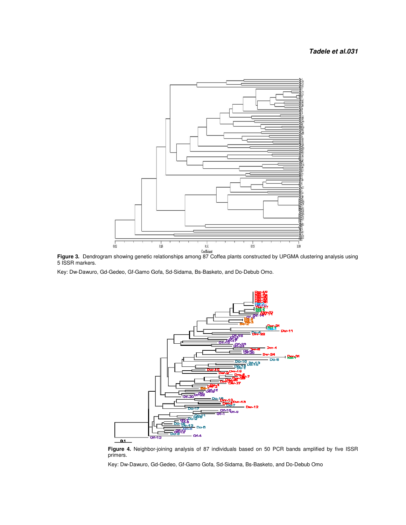## **Tadele et al.031**



**Figure 3.** Dendrogram showing genetic relationships among 87 Coffea plants constructed by UPGMA clustering analysis using 5 ISSR markers. genetic relationships among 87 Coffea plants constructed b<br>Gamo Gofa, Sd-Sidama, Bs-Basketo, and Do-Debub Omo.

Key: Dw-Dawuro, Gd-Gedeo, Gf-Gamo Gofa, Sd-Sidama, Bs-Basketo, and Do-Debub Omo.



**Figure 4.** Neighbor-joining analysis of 87 individuals based on 50 PCR bands amplified by five ISSR primers. **Figure 4.** Neighbor-joining analysis of 87 individuals based on 50 PCR bands amplified<br>primers.<br>Key: Dw-Dawuro, Gd-Gedeo, Gf-Gamo Gofa, Sd-Sidama, Bs-Basketo, and Do-Debub Omo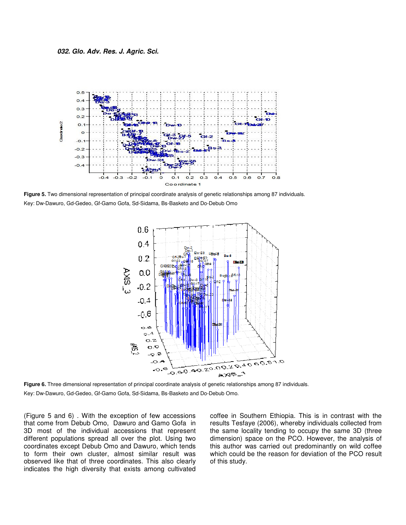

**Figure 5.** Two dimensional representation of principal coordinate analysis of genetic relationships among 87 individuals. Key: Dw-Dawuro, Gd-Gedeo, Gf-Gamo Gofa, Sd-Sidama, Bs Sidama, Bs-Basketo and Do-Debub Omo



**Figure 6.** Three dimensional representation of principal coordinate analysis of genetic relationships among 87 individuals.<br>Key: Dw-Dawuro, Gd-Gedeo, Gf-Gamo Gofa, Sd-Sidama, Bs-Basketo and Do-Debub Omo. Key: Dw-Dawuro, Gd-Gedeo, Gf-Gamo Gofa, Sd-Sidama, Bs-Basketo and Do-Debub Omo.

(Figure 5 and 6) . With the exception of few accessions that come from Debub Omo, Dawuro and Gamo Gofa in 3D most of the individual accessions that represent different populations spread all over the plot. Using two coordinates except Debub Omo and Dawuro, w to form their own cluster, almost similar result was observed like that of three coordinates. This also clearly indicates the high diversity that exists among cultivated (Figure 5 and 6). With the exception of few accessions<br>that come from Debub Omo, Dawuro and Gamo Gofa in<br>3D most of the individual accessions that represent<br>different populations spread all over the plot. Using two<br>coordin

and 6). With the exception of few accessions coffee in Southern Ethiopia. This is in contrast with the from Debub Omo, Dawuro and Gamo Gofa in results Tesfaye (2006), whereby individuals collected from of the individual ac results Tesfaye (2006), whereby individuals collected from the same locality tending to occupy the same 3D (three dimension) space on the PCO. However, the analysis of this author was carried out predominantly on wild coffee which could be the reason for deviation of the PCO result of this study. coffee in Southern Ethiopia. This is in contrast with the results Tesfaye (2006), whereby individuals collected from the same locality tending to occupy the same 3D (three dimension) space on the PCO. However, the analysis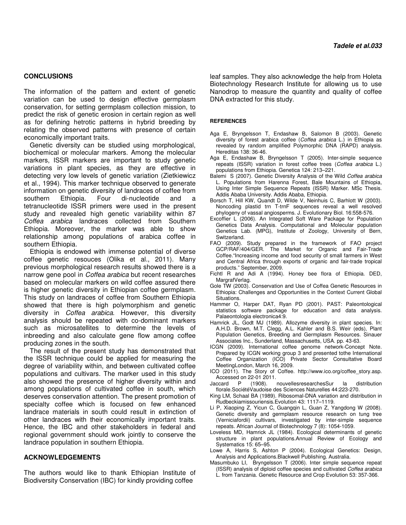#### **CONCLUSIONS**

The information of the pattern and extent of genetic variation can be used to design effective germplasm conservation, for setting germplasm collection mission, to predict the risk of genetic erosion in certain region as well as for defining hetrotic patterns in hybrid breeding by relating the observed patterns with presence of certain economically important traits.

Genetic diversity can be studied using morphological, biochemical or molecular markers. Among the molecular markers, ISSR markers are important to study genetic variations in plant species, as they are effective in detecting very low levels of genetic variation (Zietkiewicz et al., 1994). This marker technique observed to generate information on genetic diversity of landraces of coffee from southern Ethiopia. Four di-nucleotide and a tetranucleotide ISSR primers were used in the present study and revealed high genetic variability within 87 Coffea arabica landraces collected from Southern Ethiopia. Moreover, the marker was able to show relationship among populations of arabica coffee in southern Ethiopia.

Ethiopia is endowed with immense potential of diverse coffee genetic resouces (Olika et al., 2011). Many previous morphological research results showed there is a narrow gene pool in *Coffea arabica* but recent researches based on molecular markers on wild coffee assured there is higher genetic diversity in Ethiopian coffee germplasm. This study on landraces of coffee from Southern Ethiopia showed that there is high polymorphism and genetic diversity in Coffea arabica. However, this diversity analysis should be repeated with co-dominant markers such as microsatellites to determine the levels of inbreeding and also calculate gene flow among coffee producing zones in the south.

The result of the present study has demonstrated that the ISSR technique could be applied for measuring the degree of variability within, and between cultivated coffee populations and cultivars. The marker used in this study also showed the presence of higher diversity within and among populations of cultivated coffee in south, which deserves conservation attention. The present promotion of specialty coffee which is focused on few enhanced landrace materials in south could result in extinction of other landraces with their economically important traits. Hence, the IBC and other stakeholders in federal and regional government should work jointly to conserve the landrace population in southern Ethiopia.

#### **ACKNOWLEDGEMENTS**

The authors would like to thank Ethiopian Institute of Biodiversity Conservation (IBC) for kindly providing coffee

leaf samples. They also acknowledge the help from Holeta Biotechnology Research Institute for allowing us to use Nanodrop to measure the quantity and quality of coffee DNA extracted for this study.

#### **REFERENCES**

- Aga E, Bryngelsson T, Endashaw B, Salomon B (2003). Genetic diversity of forest arabica coffee (Coffea arabica L.) in Ethiopia as revealed by random amplified Polymorphic DNA (RAPD) analysis. Hereditas 138: 36-46.
- Aga E, Endashaw B, Bryngelsson T (2005). Inter-simple sequence repeats (ISSR) variation in forest coffee trees (Coffea arabica L.) populations from Ethiopia. Genetica 124: 213–221.
- Balemi S (2007). Genetic Diversity Analysis of the Wild Coffea arabica L. Populations from Harenna Forest, Bale Mountains of Ethiopia, Using Inter Simple Sequence Repeats (ISSR) Marker. MSc Thesis. Addis Ababa University. Addis Ababa, Ethiopia.
- Borsch T, Hill KW, Quandt D, Wilde V, Neinhuis C, Barhlott W (2003). Noncoding plastid trn T-trnF sequences reveal a well resolved phylogeny of vassal angiosperms. J. Evolutionary Biol. 16:558-576.
- Excoffier L (2006). An Integrated Soft Ware Package for Population Genetics Data Analysis. Computational and Molecular population Genetics Lab. (MPG), Institute of Zoology, University of Bern, Switzerland.
- FAO (2009). Study prepared in the framework of FAO project GCP/RAF/404/GER. The Market for Organic and Fair-Trade Coffee."Increasing income and food security of small farmers in West and Central Africa through exports of organic and fair-trade tropical products." September, 2009.
- Fichtl R and Adi A (1994). Honey bee flora of Ethiopia. DED, MargrafVerlag.
- Gole TW (2003). Conservation and Use of Coffea Genetic Resources in Ethiopia: Challenges and Opportunities in the Context Current Global Situations.
- Hammer O, Harper DAT, Ryan PD (2001). PAST: Paleontological statistics software package for education and data analysis. Palaeontologia electronica4:9.
- Hamrick JL, Godt MJ (1989). Allozyme diversity in plant species. In: A.H.D. Brown, M.T. Clegg, A.L. Kahler and B.S. Weir (eds), Plant Population Genetics, Breeding and Germplasm Resources. Sinauer Associates Inc., Sunderland, Massachusetts, USA. pp. 43-63.
- ICGN (2009). International coffee genome network-Concept Note. Prepared by ICGN working group 3 and presented tothe International Coffee Organization (ICO) Private Sector Consultative Board MeetingLondon, March 16, 2009.
- ICO (2011). The Story of Coffee. http://www.ico.org/coffee\_story.asp. Accessed on 22-01 2011.<br>Jaccard P (1908).
- nouvellesresearchesSur la distribution florale.SociétéVaudoise des Sciences Naturelles 44:223-270.
- King LM, Schaal BA (1989). Ribosomal-DNA variation and distribution in Rudbeckiamissouriensis.Evolution 43: 1117–1119.
- Li P, Xiaoping Z, Yicun C, Guangqin L, Guan Z, Yangdong W (2008). Genetic diversity and germplasm resource research on tung tree (Verniciafordii) cultivars, investigated by inter-simple sequence repeats. African Journal of Biotechnology 7 (8): 1054-1059.
- Loveless MD, Hamrick JL (1984). Ecological determinants of genetic structure in plant populations.Annual Review of Ecology and Systematics 15: 65–95.
- Lowe A, Harris S, Ashton P (2004). Ecological Genetics: Design, Analysis and Applications.Blackwell Publishing. Australia.
- Masumbuko LI, Bryngelsson T (2006). Inter simple sequence repeat (ISSR) analysis of diploid coffee species and cultivated Coffea arabica L. from Tanzania. Genetic Resource and Crop Evolution 53: 357-366.